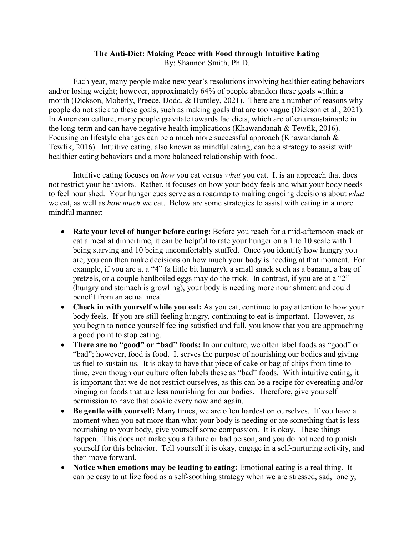## **The Anti-Diet: Making Peace with Food through Intuitive Eating** By: Shannon Smith, Ph.D.

Each year, many people make new year's resolutions involving healthier eating behaviors and/or losing weight; however, approximately 64% of people abandon these goals within a month (Dickson, Moberly, Preece, Dodd, & Huntley, 2021). There are a number of reasons why people do not stick to these goals, such as making goals that are too vague (Dickson et al., 2021). In American culture, many people gravitate towards fad diets, which are often unsustainable in the long-term and can have negative health implications (Khawandanah & Tewfik, 2016). Focusing on lifestyle changes can be a much more successful approach (Khawandanah & Tewfik, 2016). Intuitive eating, also known as mindful eating, can be a strategy to assist with healthier eating behaviors and a more balanced relationship with food.

Intuitive eating focuses on *how* you eat versus *what* you eat. It is an approach that does not restrict your behaviors. Rather, it focuses on how your body feels and what your body needs to feel nourished. Your hunger cues serve as a roadmap to making ongoing decisions about *what*  we eat, as well as *how much* we eat. Below are some strategies to assist with eating in a more mindful manner:

- **Rate your level of hunger before eating:** Before you reach for a mid-afternoon snack or eat a meal at dinnertime, it can be helpful to rate your hunger on a 1 to 10 scale with 1 being starving and 10 being uncomfortably stuffed. Once you identify how hungry you are, you can then make decisions on how much your body is needing at that moment. For example, if you are at a "4" (a little bit hungry), a small snack such as a banana, a bag of pretzels, or a couple hardboiled eggs may do the trick. In contrast, if you are at a "2" (hungry and stomach is growling), your body is needing more nourishment and could benefit from an actual meal.
- **Check in with yourself while you eat:** As you eat, continue to pay attention to how your body feels. If you are still feeling hungry, continuing to eat is important. However, as you begin to notice yourself feeling satisfied and full, you know that you are approaching a good point to stop eating.
- **There are no "good" or "bad" foods:** In our culture, we often label foods as "good" or "bad"; however, food is food. It serves the purpose of nourishing our bodies and giving us fuel to sustain us. It is okay to have that piece of cake or bag of chips from time to time, even though our culture often labels these as "bad" foods. With intuitive eating, it is important that we do not restrict ourselves, as this can be a recipe for overeating and/or binging on foods that are less nourishing for our bodies. Therefore, give yourself permission to have that cookie every now and again.
- **Be gentle with yourself:** Many times, we are often hardest on ourselves. If you have a moment when you eat more than what your body is needing or ate something that is less nourishing to your body, give yourself some compassion. It is okay. These things happen. This does not make you a failure or bad person, and you do not need to punish yourself for this behavior. Tell yourself it is okay, engage in a self-nurturing activity, and then move forward.
- **Notice when emotions may be leading to eating:** Emotional eating is a real thing. It can be easy to utilize food as a self-soothing strategy when we are stressed, sad, lonely,